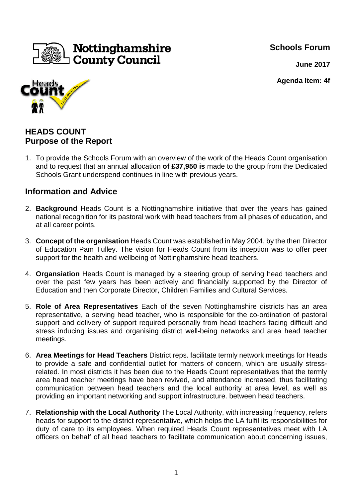**Schools Forum**



**June 2017**

**Agenda Item: 4f**



# **HEADS COUNT Purpose of the Report**

1. To provide the Schools Forum with an overview of the work of the Heads Count organisation and to request that an annual allocation **of £37,950 is** made to the group from the Dedicated Schools Grant underspend continues in line with previous years.

## **Information and Advice**

- 2. **Background** Heads Count is a Nottinghamshire initiative that over the years has gained national recognition for its pastoral work with head teachers from all phases of education, and at all career points.
- 3. **Concept of the organisation** Heads Count was established in May 2004, by the then Director of Education Pam Tulley. The vision for Heads Count from its inception was to offer peer support for the health and wellbeing of Nottinghamshire head teachers.
- 4. **Organsiation** Heads Count is managed by a steering group of serving head teachers and over the past few years has been actively and financially supported by the Director of Education and then Corporate Director, Children Families and Cultural Services.
- 5. **Role of Area Representatives** Each of the seven Nottinghamshire districts has an area representative, a serving head teacher, who is responsible for the co-ordination of pastoral support and delivery of support required personally from head teachers facing difficult and stress inducing issues and organising district well-being networks and area head teacher meetings.
- 6. **Area Meetings for Head Teachers** District reps. facilitate termly network meetings for Heads to provide a safe and confidential outlet for matters of concern, which are usually stressrelated. In most districts it has been due to the Heads Count representatives that the termly area head teacher meetings have been revived, and attendance increased, thus facilitating communication between head teachers and the local authority at area level, as well as providing an important networking and support infrastructure. between head teachers.
- 7. **Relationship with the Local Authority** The Local Authority, with increasing frequency, refers heads for support to the district representative, which helps the LA fulfil its responsibilities for duty of care to its employees. When required Heads Count representatives meet with LA officers on behalf of all head teachers to facilitate communication about concerning issues,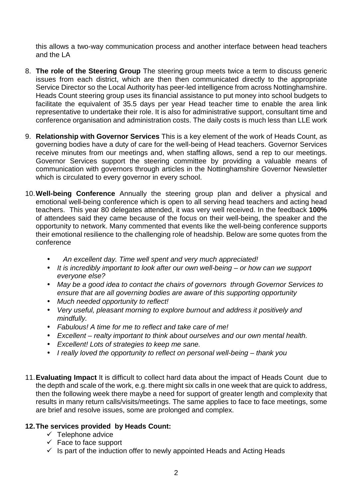this allows a two-way communication process and another interface between head teachers and the LA

- 8. **The role of the Steering Group** The steering group meets twice a term to discuss generic issues from each district, which are then then communicated directly to the appropriate Service Director so the Local Authority has peer-led intelligence from across Nottinghamshire. Heads Count steering group uses its financial assistance to put money into school budgets to facilitate the equivalent of 35.5 days per year Head teacher time to enable the area link representative to undertake their role. It is also for administrative support, consultant time and conference organisation and administration costs. The daily costs is much less than LLE work
- 9. **Relationship with Governor Services** This is a key element of the work of Heads Count, as governing bodies have a duty of care for the well-being of Head teachers. Governor Services receive minutes from our meetings and, when staffing allows, send a rep to our meetings. Governor Services support the steering committee by providing a valuable means of communication with governors through articles in the Nottinghamshire Governor Newsletter which is circulated to every governor in every school.
- 10. **Well-being Conference** Annually the steering group plan and deliver a physical and emotional well-being conference which is open to all serving head teachers and acting head teachers. This year 80 delegates attended, it was very well received. In the feedback **100%** of attendees said they came because of the focus on their well-being, the speaker and the opportunity to network. Many commented that events like the well-being conference supports their emotional resilience to the challenging role of headship. Below are some quotes from the conference
	- An excellent day. Time well spent and very much appreciated!
	- It is incredibly important to look after our own well-being or how can we support everyone else?
	- May be a good idea to contact the chairs of governors through Governor Services to ensure that are all governing bodies are aware of this supporting opportunity
	- Much needed opportunity to reflect!
	- Very useful, pleasant morning to explore burnout and address it positively and mindfully.
	- Fabulous! A time for me to reflect and take care of me!
	- Excellent realty important to think about ourselves and our own mental health.
	- Excellent! Lots of strategies to keep me sane.
	- I really loved the opportunity to reflect on personal well-being thank you
- 11. **Evaluating Impact** It is difficult to collect hard data about the impact of Heads Count due to the depth and scale of the work, e.g. there might six calls in one week that are quick to address, then the following week there maybe a need for support of greater length and complexity that results in many return calls/visits/meetings. The same applies to face to face meetings, some are brief and resolve issues, some are prolonged and complex.

#### **12. The services provided by Heads Count:**

- $\checkmark$  Telephone advice
- $\checkmark$  Face to face support
- $\checkmark$  Is part of the induction offer to newly appointed Heads and Acting Heads